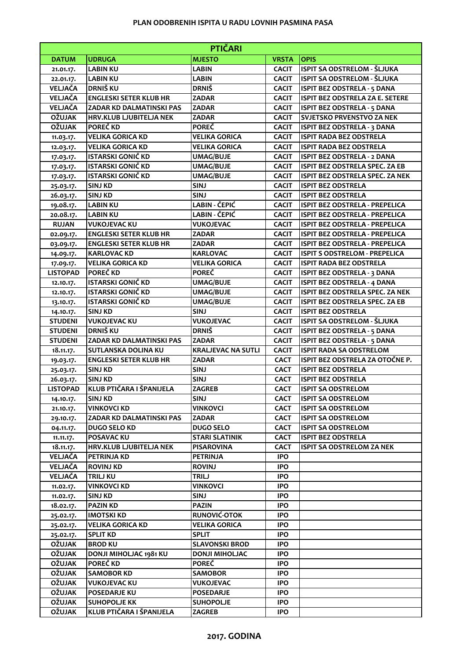## **PLAN ODOBRENIH ISPITA U RADU LOVNIH PASMINA PASA**

| <b>PTIČARI</b>  |                                 |                           |              |                                       |  |  |  |
|-----------------|---------------------------------|---------------------------|--------------|---------------------------------------|--|--|--|
| <b>DATUM</b>    | <b>UDRUGA</b>                   | <b>MJESTO</b>             | <b>VRSTA</b> | <b>OPIS</b>                           |  |  |  |
| 21.01.17.       | <b>LABIN KU</b>                 | <b>LABIN</b>              | <b>CACIT</b> | ISPIT SA ODSTRELOM - ŠLJUKA           |  |  |  |
| 22.01.17.       | <b>LABIN KU</b>                 | <b>LABIN</b>              | <b>CACIT</b> | ISPIT SA ODSTRELOM - ŠLJUKA           |  |  |  |
| <b>VELJAČA</b>  | <b>DRNIŠ KU</b>                 | <b>DRNIŠ</b>              | <b>CACIT</b> | <b>ISPIT BEZ ODSTRELA - 5 DANA</b>    |  |  |  |
| <b>VELJAČA</b>  | <b>ENGLESKI SETER KLUB HR</b>   | <b>ZADAR</b>              | <b>CACIT</b> | ISPIT BEZ ODSTRELA ZA E. SETERE       |  |  |  |
| VELJAČA         | ZADAR KD DALMATINSKI PAS        | <b>ZADAR</b>              | <b>CACIT</b> | <b>ISPIT BEZ ODSTRELA - 5 DANA</b>    |  |  |  |
| <b>OŽUJAK</b>   | <b>HRV.KLUB LJUBITELJA NEK</b>  | <b>ZADAR</b>              | <b>CACIT</b> | <b>SVJETSKO PRVENSTVO ZA NEK</b>      |  |  |  |
| <b>OŽUJAK</b>   | <b>POREČ KD</b>                 | <b>POREČ</b>              | <b>CACIT</b> | <b>ISPIT BEZ ODSTRELA - 3 DANA</b>    |  |  |  |
| 11.03.17.       | <b>VELIKA GORICA KD</b>         | <b>VELIKA GORICA</b>      | <b>CACIT</b> | <b>ISPIT RADA BEZ ODSTRELA</b>        |  |  |  |
| 12.03.17.       | <b>VELIKA GORICA KD</b>         | <b>VELIKA GORICA</b>      | <b>CACIT</b> | <b>ISPIT RADA BEZ ODSTRELA</b>        |  |  |  |
| 17.03.17.       | <b>ISTARSKI GONIČ KD</b>        | <b>UMAG/BUJE</b>          | <b>CACIT</b> | <b>ISPIT BEZ ODSTRELA - 2 DANA</b>    |  |  |  |
| 17.03.17.       | <b>ISTARSKI GONIČ KD</b>        | <b>UMAG/BUJE</b>          | <b>CACIT</b> | <b>ISPIT BEZ ODSTRELA SPEC. ZA EB</b> |  |  |  |
| 17.03.17.       | ISTARSKI GONIČ KD               | <b>UMAG/BUJE</b>          | <b>CACIT</b> | ISPIT BEZ ODSTRELA SPEC. ZA NEK       |  |  |  |
| 25.03.17.       | <b>SINJ KD</b>                  | <b>SINJ</b>               | <b>CACIT</b> | <b>ISPIT BEZ ODSTRELA</b>             |  |  |  |
| 26.03.17.       | <b>SINJ KD</b>                  | <b>SINJ</b>               | <b>CACIT</b> | <b>ISPIT BEZ ODSTRELA</b>             |  |  |  |
| 19.08.17.       | <b>LABIN KU</b>                 | <b>LABIN - ČEPIĆ</b>      | <b>CACIT</b> | ISPIT BEZ ODSTRELA - PREPELICA        |  |  |  |
| 20.08.17.       | <b>LABIN KU</b>                 | LABIN - ČEPIĆ             | <b>CACIT</b> | ISPIT BEZ ODSTRELA - PREPELICA        |  |  |  |
| <b>RUJAN</b>    | <b>VUKOJEVAC KU</b>             | <b>VUKOJEVAC</b>          | <b>CACIT</b> | ISPIT BEZ ODSTRELA - PREPELICA        |  |  |  |
| 02.09.17.       | <b>ENGLESKI SETER KLUB HR</b>   | <b>ZADAR</b>              | <b>CACIT</b> | ISPIT BEZ ODSTRELA - PREPELICA        |  |  |  |
| 03.09.17.       | <b>ENGLESKI SETER KLUB HR</b>   | <b>ZADAR</b>              | <b>CACIT</b> | ISPIT BEZ ODSTRELA - PREPELICA        |  |  |  |
| 14.09.17.       | <b>KARLOVAC KD</b>              | <b>KARLOVAC</b>           | <b>CACIT</b> | <b>ISPIT S ODSTRELOM - PREPELICA</b>  |  |  |  |
| 17.09.17.       | <b>VELIKA GORICA KD</b>         | <b>VELIKA GORICA</b>      | <b>CACIT</b> | <b>ISPIT RADA BEZ ODSTRELA</b>        |  |  |  |
| <b>LISTOPAD</b> | POREČ KD                        | <b>POREČ</b>              | <b>CACIT</b> | <b>ISPIT BEZ ODSTRELA - 3 DANA</b>    |  |  |  |
| 12.10.17.       | <b>ISTARSKI GONIČ KD</b>        | <b>UMAG/BUJE</b>          | <b>CACIT</b> | <b>ISPIT BEZ ODSTRELA - 4 DANA</b>    |  |  |  |
| 12.10.17.       | <b>ISTARSKI GONIČ KD</b>        | <b>UMAG/BUJE</b>          | <b>CACIT</b> | ISPIT BEZ ODSTRELA SPEC. ZA NEK       |  |  |  |
| 13.10.17.       | <b>ISTARSKI GONIČ KD</b>        | <b>UMAG/BUJE</b>          | <b>CACIT</b> | ISPIT BEZ ODSTRELA SPEC. ZA EB        |  |  |  |
| 14.10.17.       | <b>SINJ KD</b>                  | <b>SINJ</b>               | <b>CACIT</b> | <b>ISPIT BEZ ODSTRELA</b>             |  |  |  |
| <b>STUDENI</b>  | <b>VUKOJEVAC KU</b>             | <b>VUKOJEVAC</b>          | <b>CACIT</b> | ISPIT SA ODSTRELOM - ŠLJUKA           |  |  |  |
| <b>STUDENI</b>  | <b>DRNIŠ KU</b>                 | <b>DRNIŠ</b>              | <b>CACIT</b> | <b>ISPIT BEZ ODSTRELA - 5 DANA</b>    |  |  |  |
| <b>STUDENI</b>  | ZADAR KD DALMATINSKI PAS        | <b>ZADAR</b>              | <b>CACIT</b> | <b>ISPIT BEZ ODSTRELA - 5 DANA</b>    |  |  |  |
| 18.11.17.       | <b>SUTLANSKA DOLINA KU</b>      | <b>KRALJEVAC NA SUTLI</b> | <b>CACIT</b> | <b>ISPIT RADA SA ODSTRELOM</b>        |  |  |  |
| 19.03.17.       | <b>ENGLESKI SETER KLUB HR</b>   | <b>ZADAR</b>              | <b>CACT</b>  | ISPIT BEZ ODSTRELA ZA OTOČNE P.       |  |  |  |
| 25.03.17.       | <b>SINJ KD</b>                  | <b>SINJ</b>               | <b>CACT</b>  | <b>ISPIT BEZ ODSTRELA</b>             |  |  |  |
| 26.03.17.       | <b>SINJ KD</b>                  | <b>SINJ</b>               | <b>CACT</b>  | <b>ISPIT BEZ ODSTRELA</b>             |  |  |  |
| <b>LISTOPAD</b> | KLUB PTIČARA I ŠPANIJELA        | <b>ZAGREB</b>             | <b>CACT</b>  | <b>ISPIT SA ODSTRELOM</b>             |  |  |  |
| 14.10.17.       | <b>SINJ KD</b>                  | <b>SINJ</b>               | <b>CACT</b>  | <b>ISPIT SA ODSTRELOM</b>             |  |  |  |
| 21.10.17.       | <b>VINKOVCI KD</b>              | <b>VINKOVCI</b>           | <b>CACT</b>  | <b>ISPIT SA ODSTRELOM</b>             |  |  |  |
| 29.10.17.       | <b>ZADAR KD DALMATINSKI PAS</b> | <b>ZADAR</b>              | <b>CACT</b>  | <b>ISPIT SA ODSTRELOM</b>             |  |  |  |
| 04.11.17.       | <b>DUGO SELO KD</b>             | <b>DUGO SELO</b>          | <b>CACT</b>  | <b>ISPIT SA ODSTRELOM</b>             |  |  |  |
| 11.11.17.       | <b>POSAVAC KU</b>               | <b>STARI SLATINIK</b>     | <b>CACT</b>  | <b>ISPIT BEZ ODSTRELA</b>             |  |  |  |
| 18.11.17.       | <b>HRV.KLUB LJUBITELJA NEK</b>  | <b>PISAROVINA</b>         | <b>CACT</b>  | <b>ISPIT SA ODSTRELOM ZA NEK</b>      |  |  |  |
| VELJAČA         | PETRINJA KD                     | <b>PETRINJA</b>           | <b>IPO</b>   |                                       |  |  |  |
| VELJAČA         | <b>ROVINJ KD</b>                | <b>ROVINJ</b>             | <b>IPO</b>   |                                       |  |  |  |
| VELJAČA         | <b>TRILJ KU</b>                 | <b>TRILJ</b>              | <b>IPO</b>   |                                       |  |  |  |
| 11.02.17.       | <b>VINKOVCI KD</b>              | <b>VINKOVCI</b>           | <b>IPO</b>   |                                       |  |  |  |
| 11.02.17.       | <b>SINJ KD</b>                  | <b>SINJ</b>               | <b>IPO</b>   |                                       |  |  |  |
| 18.02.17.       | <b>PAZIN KD</b>                 | <b>PAZIN</b>              | <b>IPO</b>   |                                       |  |  |  |
| 25.02.17.       | <b>IMOTSKI KD</b>               | RUNOVIĆ-OTOK              | <b>IPO</b>   |                                       |  |  |  |
| 25.02.17.       | <b>VELIKA GORICA KD</b>         | <b>VELIKA GORICA</b>      | <b>IPO</b>   |                                       |  |  |  |
| 25.02.17.       | <b>SPLIT KD</b>                 | <b>SPLIT</b>              | <b>IPO</b>   |                                       |  |  |  |
| <b>OŽUJAK</b>   | <b>BROD KU</b>                  | <b>SLAVONSKI BROD</b>     | <b>IPO</b>   |                                       |  |  |  |
| <b>OŽUJAK</b>   | DONJI MIHOLJAC 1981 KU          | <b>DONJI MIHOLJAC</b>     | <b>IPO</b>   |                                       |  |  |  |
| <b>OŽUJAK</b>   | POREČ KD                        | <b>POREČ</b>              | <b>IPO</b>   |                                       |  |  |  |
| <b>OŽUJAK</b>   | <b>SAMOBOR KD</b>               | <b>SAMOBOR</b>            | <b>IPO</b>   |                                       |  |  |  |
| <b>OŽUJAK</b>   | <b>VUKOJEVAC KU</b>             | <b>VUKOJEVAC</b>          | <b>IPO</b>   |                                       |  |  |  |
| <b>OŽUJAK</b>   | <b>POSEDARJE KU</b>             | <b>POSEDARJE</b>          | <b>IPO</b>   |                                       |  |  |  |
| <b>OŽUJAK</b>   | <b>SUHOPOLJE KK</b>             | <b>SUHOPOLJE</b>          | <b>IPO</b>   |                                       |  |  |  |
| <b>OŽUJAK</b>   | KLUB PTIČARA I ŠPANIJELA        | <b>ZAGREB</b>             | <b>IPO</b>   |                                       |  |  |  |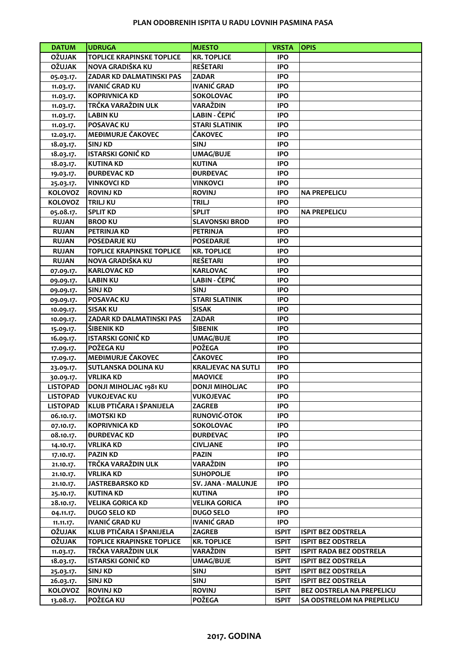## **PLAN ODOBRENIH ISPITA U RADU LOVNIH PASMINA PASA**

| <b>DATUM</b>    | <b>UDRUGA</b>                    | <b>MJESTO</b>             | <b>VRSTA</b> | <b>OPIS</b>                      |
|-----------------|----------------------------------|---------------------------|--------------|----------------------------------|
| <b>OŽUJAK</b>   | <b>TOPLICE KRAPINSKE TOPLICE</b> | <b>KR. TOPLICE</b>        | <b>IPO</b>   |                                  |
| <b>OŽUJAK</b>   | NOVA GRADIŠKA KU                 | <b>REŠETARI</b>           | <b>IPO</b>   |                                  |
| 05.03.17.       | ZADAR KD DALMATINSKI PAS         | <b>ZADAR</b>              | <b>IPO</b>   |                                  |
| 11.03.17.       | <b>IVANIĆ GRAD KU</b>            | <b>IVANIĆ GRAD</b>        | <b>IPO</b>   |                                  |
| 11.03.17.       | <b>KOPRIVNICA KD</b>             | <b>SOKOLOVAC</b>          | <b>IPO</b>   |                                  |
| 11.03.17.       | TRČKA VARAŽDIN ULK               | VARAŽDIN                  | <b>IPO</b>   |                                  |
| 11.03.17.       | <b>LABIN KU</b>                  | LABIN - ČEPIĆ             | <b>IPO</b>   |                                  |
| 11.03.17.       | POSAVAC KU                       | <b>STARI SLATINIK</b>     | <b>IPO</b>   |                                  |
| 12.03.17.       | MEĐIMURJE ČAKOVEC                | ČAKOVEC                   | <b>IPO</b>   |                                  |
| 18.03.17.       | <b>SINJ KD</b>                   | <b>SINJ</b>               | <b>IPO</b>   |                                  |
| 18.03.17.       | <b>ISTARSKI GONIČ KD</b>         | <b>UMAG/BUJE</b>          | <b>IPO</b>   |                                  |
| 18.03.17.       | <b>KUTINA KD</b>                 | <b>KUTINA</b>             | <b>IPO</b>   |                                  |
| 19.03.17.       | <b><i>BURBEVACKD</i></b>         | <b><i>DURDEVAC</i></b>    | <b>IPO</b>   |                                  |
| 25.03.17.       | <b>VINKOVCI KD</b>               | <b>VINKOVCI</b>           | <b>IPO</b>   |                                  |
| <b>KOLOVOZ</b>  | <b>ROVINJ KD</b>                 | <b>ROVINJ</b>             | <b>IPO</b>   | <b>NA PREPELICU</b>              |
| <b>KOLOVOZ</b>  | <b>TRILJ KU</b>                  | <b>TRILJ</b>              | <b>IPO</b>   |                                  |
| 05.08.17.       | <b>SPLIT KD</b>                  | <b>SPLIT</b>              | <b>IPO</b>   | <b>NA PREPELICU</b>              |
| <b>RUJAN</b>    | <b>BROD KU</b>                   | <b>SLAVONSKI BROD</b>     | <b>IPO</b>   |                                  |
| <b>RUJAN</b>    | <b>PETRINJA KD</b>               | <b>PETRINJA</b>           | <b>IPO</b>   |                                  |
| <b>RUJAN</b>    | <b>POSEDARJE KU</b>              | <b>POSEDARJE</b>          | <b>IPO</b>   |                                  |
| <b>RUJAN</b>    | <b>TOPLICE KRAPINSKE TOPLICE</b> | <b>KR. TOPLICE</b>        | <b>IPO</b>   |                                  |
| <b>RUJAN</b>    | NOVA GRADIŠKA KU                 | <b>REŠETARI</b>           | <b>IPO</b>   |                                  |
| 07.09.17.       | <b>KARLOVAC KD</b>               | <b>KARLOVAC</b>           | <b>IPO</b>   |                                  |
| 09.09.17.       | <b>LABIN KU</b>                  | LABIN - ČEPIĆ             | <b>IPO</b>   |                                  |
| 09.09.17.       | <b>SINJ KD</b>                   | <b>SINJ</b>               | <b>IPO</b>   |                                  |
| 09.09.17.       | <b>POSAVAC KU</b>                | <b>STARI SLATINIK</b>     | <b>IPO</b>   |                                  |
| 10.09.17.       | <b>SISAK KU</b>                  | <b>SISAK</b>              | <b>IPO</b>   |                                  |
| 10.09.17.       | <b>ZADAR KD DALMATINSKI PAS</b>  | <b>ZADAR</b>              | <b>IPO</b>   |                                  |
| 15.09.17.       | ŠIBENIK KD                       | <b>ŠIBENIK</b>            | <b>IPO</b>   |                                  |
| 16.09.17.       | <b>ISTARSKI GONIČ KD</b>         | <b>UMAG/BUJE</b>          | <b>IPO</b>   |                                  |
| 17.09.17.       | <b>POŽEGA KU</b>                 | <b>POŽEGA</b>             | <b>IPO</b>   |                                  |
| 17.09.17.       | MEĐIMURJE ČAKOVEC                | <b>ČAKOVEC</b>            | <b>IPO</b>   |                                  |
| 23.09.17.       | <b>SUTLANSKA DOLINA KU</b>       | <b>KRALJEVAC NA SUTLI</b> | <b>IPO</b>   |                                  |
| 30.09.17.       | <b>VRLIKA KD</b>                 | <b>MAOVICE</b>            | <b>IPO</b>   |                                  |
| <b>LISTOPAD</b> | <b>DONJI MIHOLJAC 1981 KU</b>    | <b>DONJI MIHOLJAC</b>     | <b>IPO</b>   |                                  |
| <b>LISTOPAD</b> | <b>VUKOJEVAC KU</b>              | <b>VUKOJEVAC</b>          | <b>IPO</b>   |                                  |
| <b>LISTOPAD</b> | KLUB PTIČARA I ŠPANIJELA         | <b>ZAGREB</b>             | <b>IPO</b>   |                                  |
| 06.10.17.       | <b>IMOTSKI KD</b>                | RUNOVIĆ-OTOK              | <b>IPO</b>   |                                  |
| 07.10.17.       | <b>KOPRIVNICA KD</b>             | <b>SOKOLOVAC</b>          | <b>IPO</b>   |                                  |
| 08.10.17.       | <b><i>BURBEVAC KD</i></b>        | <b><i>DURDEVAC</i></b>    | <b>IPO</b>   |                                  |
| 14.10.17.       | <b>VRLIKA KD</b>                 | <b>CIVLJANE</b>           | <b>IPO</b>   |                                  |
| 17.10.17.       | <b>PAZIN KD</b>                  | <b>PAZIN</b>              | <b>IPO</b>   |                                  |
| 21.10.17.       | TRČKA VARAŽDIN ULK               | VARAŽDIN                  | <b>IPO</b>   |                                  |
| 21.10.17.       | <b>VRLIKA KD</b>                 | <b>SUHOPOLJE</b>          | <b>IPO</b>   |                                  |
| 21.10.17.       | <b>JASTREBARSKO KD</b>           | SV. JANA - MALUNJE        | <b>IPO</b>   |                                  |
| 25.10.17.       | <b>KUTINA KD</b>                 | <b>KUTINA</b>             | <b>IPO</b>   |                                  |
| 28.10.17.       | <b>VELIKA GORICA KD</b>          | <b>VELIKA GORICA</b>      | <b>IPO</b>   |                                  |
| 04.11.17.       | <b>DUGO SELO KD</b>              | <b>DUGO SELO</b>          | <b>IPO</b>   |                                  |
| 11.11.17.       | <b>IVANIĆ GRAD KU</b>            | <b>IVANIĆ GRAD</b>        | <b>IPO</b>   |                                  |
| <b>OŽUJAK</b>   | KLUB PTIČARA I ŠPANIJELA         | <b>ZAGREB</b>             | <b>ISPIT</b> | <b>ISPIT BEZ ODSTRELA</b>        |
| <b>OŽUJAK</b>   | <b>TOPLICE KRAPINSKE TOPLICE</b> | <b>KR. TOPLICE</b>        | <b>ISPIT</b> | <b>ISPIT BEZ ODSTRELA</b>        |
| 11.03.17.       | TRČKA VARAŽDIN ULK               | VARAŽDIN                  | <b>ISPIT</b> | <b>ISPIT RADA BEZ ODSTRELA</b>   |
| 18.03.17.       | ISTARSKI GONIČ KD                | <b>UMAG/BUJE</b>          | <b>ISPIT</b> | <b>ISPIT BEZ ODSTRELA</b>        |
| 25.03.17.       | <b>SINJ KD</b>                   | <b>SINJ</b>               | <b>ISPIT</b> | <b>ISPIT BEZ ODSTRELA</b>        |
| 26.03.17.       | <b>SINJ KD</b>                   | SINJ                      | <b>ISPIT</b> | <b>ISPIT BEZ ODSTRELA</b>        |
| <b>KOLOVOZ</b>  | <b>ROVINJ KD</b>                 | <b>ROVINJ</b>             | <b>ISPIT</b> | <b>BEZ ODSTRELA NA PREPELICU</b> |
| 13.08.17.       | POŽEGA KU                        | <b>POŽEGA</b>             | <b>ISPIT</b> | SA ODSTRELOM NA PREPELICU        |
|                 |                                  |                           |              |                                  |